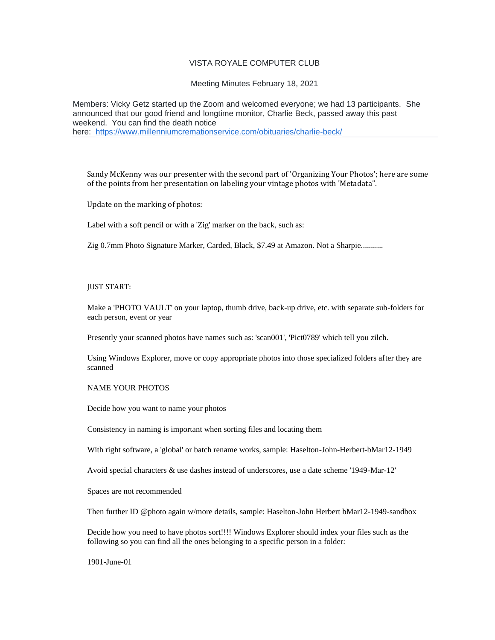# VISTA ROYALE COMPUTER CLUB

Meeting Minutes February 18, 2021

Members: Vicky Getz started up the Zoom and welcomed everyone; we had 13 participants. She announced that our good friend and longtime monitor, Charlie Beck, passed away this past weekend. You can find the death notice here: [https://www.millenniumcremationservice.com/obituaries/charlie-beck/](https://vrcomputerclub-dot-yamm-track.appspot.com/Redirect?ukey=1HqwuEtkQIAl2xUAFN81J1MLoXbtU61t-XPX-_LwJAjY-0&key=YAMMID-68532888&link=https%3A%2F%2Fwww.millenniumcremationservice.com%2Fobituaries%2Fcharlie-beck%2F)

Sandy McKenny was our presenter with the second part of 'Organizing Your Photos'; here are some of the points from her presentation on labeling your vintage photos with 'Metadata".

Update on the marking of photos:

Label with a soft pencil or with a 'Zig' marker on the back, such as:

Zig 0.7mm Photo Signature Marker, Carded, Black, \$7.49 at Amazon. Not a Sharpie...........

#### JUST START:

Make a 'PHOTO VAULT' on your laptop, thumb drive, back-up drive, etc. with separate sub-folders for each person, event or year

Presently your scanned photos have names such as: 'scan001', 'Pict0789' which tell you zilch.

Using Windows Explorer, move or copy appropriate photos into those specialized folders after they are scanned

### NAME YOUR PHOTOS

Decide how you want to name your photos

Consistency in naming is important when sorting files and locating them

With right software, a 'global' or batch rename works, sample: Haselton-John-Herbert-bMar12-1949

Avoid special characters & use dashes instead of underscores, use a date scheme '1949-Mar-12'

Spaces are not recommended

Then further ID @photo again w/more details, sample: Haselton-John Herbert bMar12-1949-sandbox

Decide how you need to have photos sort!!!! Windows Explorer should index your files such as the following so you can find all the ones belonging to a specific person in a folder:

1901-June-01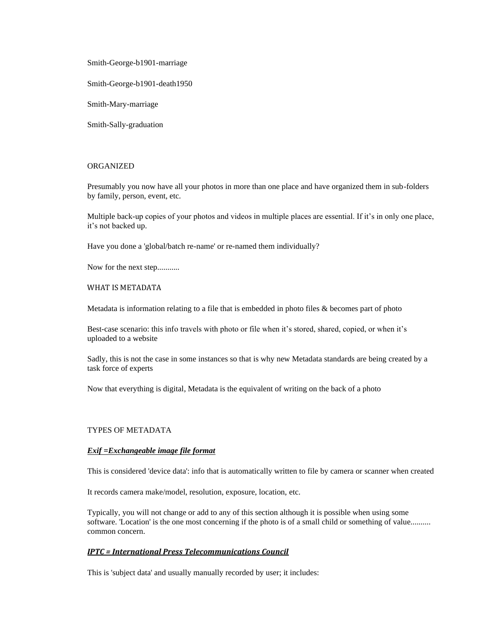Smith-George-b1901-marriage

Smith-George-b1901-death1950

Smith-Mary-marriage

Smith-Sally-graduation

### ORGANIZED

Presumably you now have all your photos in more than one place and have organized them in sub-folders by family, person, event, etc.

Multiple back-up copies of your photos and videos in multiple places are essential. If it's in only one place, it's not backed up.

Have you done a 'global/batch re-name' or re-named them individually?

Now for the next step...........

#### WHAT IS METADATA

Metadata is information relating to a file that is embedded in photo files & becomes part of photo

Best-case scenario: this info travels with photo or file when it's stored, shared, copied, or when it's uploaded to a website

Sadly, this is not the case in some instances so that is why new Metadata standards are being created by a task force of experts

Now that everything is digital, Metadata is the equivalent of writing on the back of a photo

## TYPES OF METADATA

## *Exif =Exchangeable image file format*

This is considered 'device data': info that is automatically written to file by camera or scanner when created

It records camera make/model, resolution, exposure, location, etc.

Typically, you will not change or add to any of this section although it is possible when using some software. 'Location' is the one most concerning if the photo is of a small child or something of value.......... common concern.

#### *IPTC = International Press Telecommunications Council*

This is 'subject data' and usually manually recorded by user; it includes: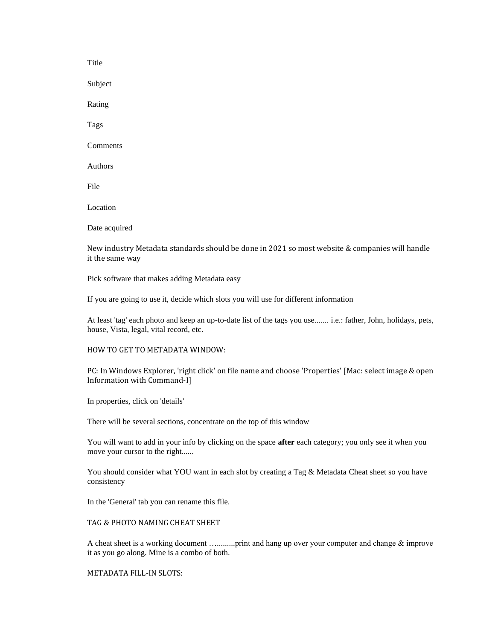Title Subject Rating Tags Comments Authors File Location Date acquired

New industry Metadata standards should be done in 2021 so most website & companies will handle it the same way

Pick software that makes adding Metadata easy

If you are going to use it, decide which slots you will use for different information

At least 'tag' each photo and keep an up-to-date list of the tags you use....... i.e.: father, John, holidays, pets, house, Vista, legal, vital record, etc.

#### HOW TO GET TO METADATA WINDOW:

PC: In Windows Explorer, 'right click' on file name and choose 'Properties' [Mac: select image & open Information with Command-I]

In properties, click on 'details'

There will be several sections, concentrate on the top of this window

You will want to add in your info by clicking on the space **after** each category; you only see it when you move your cursor to the right......

You should consider what YOU want in each slot by creating a Tag & Metadata Cheat sheet so you have consistency

In the 'General' tab you can rename this file.

TAG & PHOTO NAMING CHEAT SHEET

A cheat sheet is a working document ….........print and hang up over your computer and change & improve it as you go along. Mine is a combo of both.

METADATA FILL-IN SLOTS: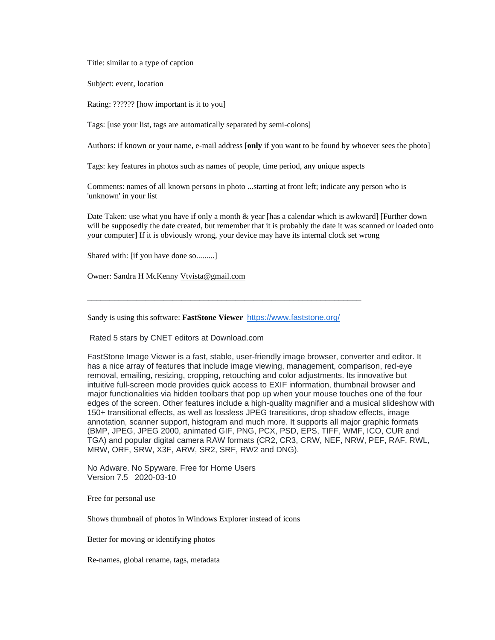Title: similar to a type of caption

Subject: event, location

Rating: ?????? [how important is it to you]

Tags: [use your list, tags are automatically separated by semi-colons]

Authors: if known or your name, e-mail address [**only** if you want to be found by whoever sees the photo]

Tags: key features in photos such as names of people, time period, any unique aspects

Comments: names of all known persons in photo ...starting at front left; indicate any person who is 'unknown' in your list

Date Taken: use what you have if only a month & year [has a calendar which is awkward] [Further down will be supposedly the date created, but remember that it is probably the date it was scanned or loaded onto your computer] If it is obviously wrong, your device may have its internal clock set wrong

Shared with: [if you have done so.........]

Owner: Sandra H McKenny [Vtvista@gmail.com](mailto:Vtvista@gmail.com)

Sandy is using this software: **FastStone Viewer** [https://www.faststone.org/](https://vrcomputerclub-dot-yamm-track.appspot.com/Redirect?ukey=1HqwuEtkQIAl2xUAFN81J1MLoXbtU61t-XPX-_LwJAjY-0&key=YAMMID-68532888&link=https%3A%2F%2Fwww.faststone.org%2F)

\_\_\_\_\_\_\_\_\_\_\_\_\_\_\_\_\_\_\_\_\_\_\_\_\_\_\_\_\_\_\_\_\_\_\_\_\_\_\_\_\_\_\_\_\_\_\_\_\_\_\_\_\_\_\_\_\_\_\_\_\_

Rated 5 stars by CNET editors at Download.com

FastStone Image Viewer is a fast, stable, user-friendly image browser, converter and editor. It has a nice array of features that include image viewing, management, comparison, red-eye removal, emailing, resizing, cropping, retouching and color adjustments. Its innovative but intuitive full-screen mode provides quick access to EXIF information, thumbnail browser and major functionalities via hidden toolbars that pop up when your mouse touches one of the four edges of the screen. Other features include a high-quality magnifier and a musical slideshow with 150+ transitional effects, as well as lossless JPEG transitions, drop shadow effects, image annotation, scanner support, histogram and much more. It supports all major graphic formats (BMP, JPEG, JPEG 2000, animated GIF, PNG, PCX, PSD, EPS, TIFF, WMF, ICO, CUR and TGA) and popular digital camera RAW formats (CR2, CR3, CRW, NEF, NRW, PEF, RAF, RWL, MRW, ORF, SRW, X3F, ARW, SR2, SRF, RW2 and DNG).

No Adware. No Spyware. Free for Home Users Version 7.5 2020-03-10

Free for personal use

Shows thumbnail of photos in Windows Explorer instead of icons

Better for moving or identifying photos

Re-names, global rename, tags, metadata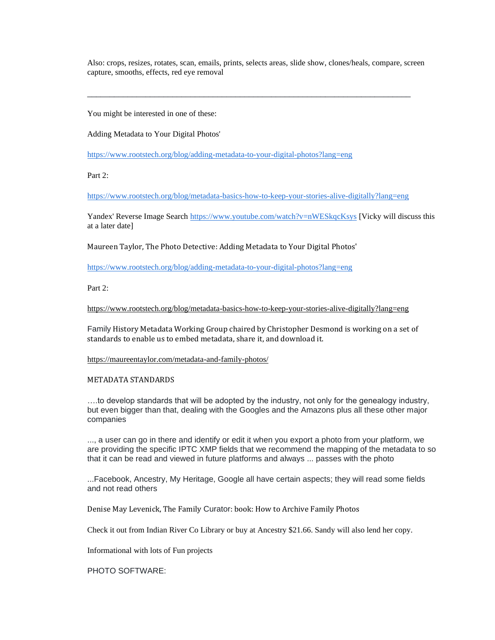Also: crops, resizes, rotates, scan, emails, prints, selects areas, slide show, clones/heals, compare, screen capture, smooths, effects, red eye removal

\_\_\_\_\_\_\_\_\_\_\_\_\_\_\_\_\_\_\_\_\_\_\_\_\_\_\_\_\_\_\_\_\_\_\_\_\_\_\_\_\_\_\_\_\_\_\_\_\_\_\_\_\_\_\_\_\_\_\_\_\_\_\_\_\_\_\_\_\_\_\_\_

You might be interested in one of these:

Adding Metadata to Your Digital Photos'

[https://www.rootstech.org/blog/adding-metadata-to-your-digital-photos?lang=eng](https://vrcomputerclub-dot-yamm-track.appspot.com/Redirect?ukey=1HqwuEtkQIAl2xUAFN81J1MLoXbtU61t-XPX-_LwJAjY-0&key=YAMMID-68532888&link=https%3A%2F%2Fwww.rootstech.org%2Fblog%2Fadding-metadata-to-your-digital-photos%3Flang%3Deng)

Part 2:

[https://www.rootstech.org/blog/metadata-basics-how-to-keep-your-stories-alive-digitally?lang=eng](https://vrcomputerclub-dot-yamm-track.appspot.com/Redirect?ukey=1HqwuEtkQIAl2xUAFN81J1MLoXbtU61t-XPX-_LwJAjY-0&key=YAMMID-68532888&link=https%3A%2F%2Fwww.rootstech.org%2Fblog%2Fmetadata-basics-how-to-keep-your-stories-alive-digitally%3Flang%3Deng)

Yandex' Reverse Image Search [https://www.youtube.com/watch?v=nWESkqcKsys](https://vrcomputerclub-dot-yamm-track.appspot.com/Redirect?ukey=1HqwuEtkQIAl2xUAFN81J1MLoXbtU61t-XPX-_LwJAjY-0&key=YAMMID-68532888&link=https%3A%2F%2Fwww.youtube.com%2Fwatch%3Fv%3DnWESkqcKsys) [Vicky will discuss this at a later date]

Maureen Taylor, The Photo Detective: Adding Metadata to Your Digital Photos'

[https://www.rootstech.org/blog/adding-metadata-to-your-digital-photos?lang=eng](https://vrcomputerclub-dot-yamm-track.appspot.com/Redirect?ukey=1HqwuEtkQIAl2xUAFN81J1MLoXbtU61t-XPX-_LwJAjY-0&key=YAMMID-68532888&link=https%3A%2F%2Fwww.rootstech.org%2Fblog%2Fadding-metadata-to-your-digital-photos%3Flang%3Deng)

Part 2:

[https://www.rootstech.org/blog/metadata-basics-how-to-keep-your-stories-alive-digitally?lang=eng](https://vrcomputerclub-dot-yamm-track.appspot.com/Redirect?ukey=1HqwuEtkQIAl2xUAFN81J1MLoXbtU61t-XPX-_LwJAjY-0&key=YAMMID-68532888&link=https%3A%2F%2Fwww.rootstech.org%2Fblog%2Fmetadata-basics-how-to-keep-your-stories-alive-digitally%3Flang%3Deng)

Family History Metadata Working Group chaired by Christopher Desmond is working on a set of standards to enable us to embed metadata, share it, and download it.

[https://maureentaylor.com/metadata-and-family-photos/](https://vrcomputerclub-dot-yamm-track.appspot.com/Redirect?ukey=1HqwuEtkQIAl2xUAFN81J1MLoXbtU61t-XPX-_LwJAjY-0&key=YAMMID-68532888&link=https%3A%2F%2Fmaureentaylor.com%2Fmetadata-and-family-photos%2F)

#### METADATA STANDARDS

….to develop standards that will be adopted by the industry, not only for the genealogy industry, but even bigger than that, dealing with the Googles and the Amazons plus all these other major companies

..., a user can go in there and identify or edit it when you export a photo from your platform, we are providing the specific IPTC XMP fields that we recommend the mapping of the metadata to so that it can be read and viewed in future platforms and always ... passes with the photo

...Facebook, Ancestry, My Heritage, Google all have certain aspects; they will read some fields and not read others

Denise May Levenick, The Family Curator: book: How to Archive Family Photos

Check it out from Indian River Co Library or buy at Ancestry \$21.66. Sandy will also lend her copy.

Informational with lots of Fun projects

PHOTO SOFTWARE: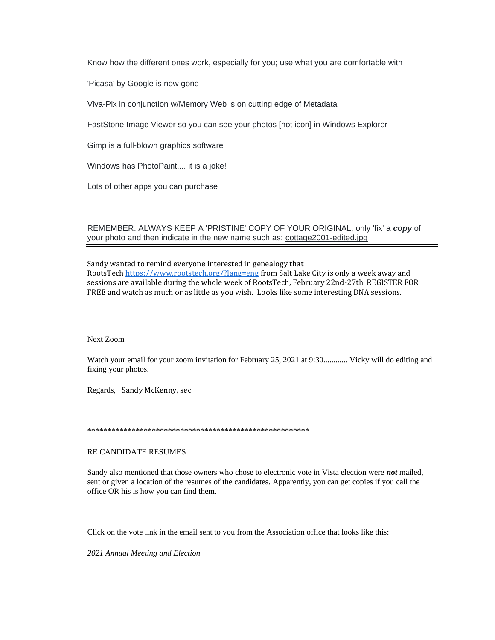Know how the different ones work, especially for you; use what you are comfortable with

'Picasa' by Google is now gone

Viva-Pix in conjunction w/Memory Web is on cutting edge of Metadata

FastStone Image Viewer so you can see your photos [not icon] in Windows Explorer

Gimp is a full-blown graphics software

Windows has PhotoPaint.... it is a joke!

Lots of other apps you can purchase

REMEMBER: ALWAYS KEEP A 'PRISTINE' COPY OF YOUR ORIGINAL, only 'fix' a *copy* of your photo and then indicate in the new name such as: cottage2001-edited.jpg

Sandy wanted to remind everyone interested in genealogy that RootsTech [https://www.rootstech.org/?lang=eng](https://vrcomputerclub-dot-yamm-track.appspot.com/Redirect?ukey=1HqwuEtkQIAl2xUAFN81J1MLoXbtU61t-XPX-_LwJAjY-0&key=YAMMID-68532888&link=https%3A%2F%2Fwww.rootstech.org%2F%3Flang%3Deng) from Salt Lake City is only a week away and sessions are available during the whole week of RootsTech, February 22nd-27th. REGISTER FOR FREE and watch as much or as little as you wish. Looks like some interesting DNA sessions.

#### Next Zoom

Watch your email for your zoom invitation for February 25, 2021 at 9:30............ Vicky will do editing and fixing your photos.

Regards, Sandy McKenny, sec.

\*\*\*\*\*\*\*\*\*\*\*\*\*\*\*\*\*\*\*\*\*\*\*\*\*\*\*\*\*\*\*\*\*\*\*\*\*\*\*\*\*\*\*\*\*\*\*\*\*\*\*\*\*\*\*

#### RE CANDIDATE RESUMES

Sandy also mentioned that those owners who chose to electronic vote in Vista election were *not* mailed, sent or given a location of the resumes of the candidates. Apparently, you can get copies if you call the office OR his is how you can find them.

Click on the vote link in the email sent to you from the Association office that looks like this:

*2021 Annual Meeting and Election*